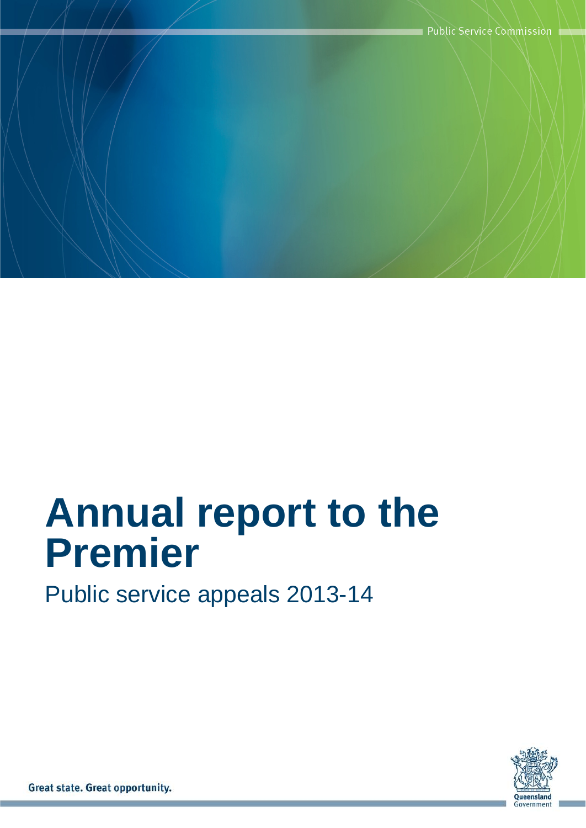

# **Annual report to the Premier**

Public service appeals 2013-14



Great state. Great opportunity.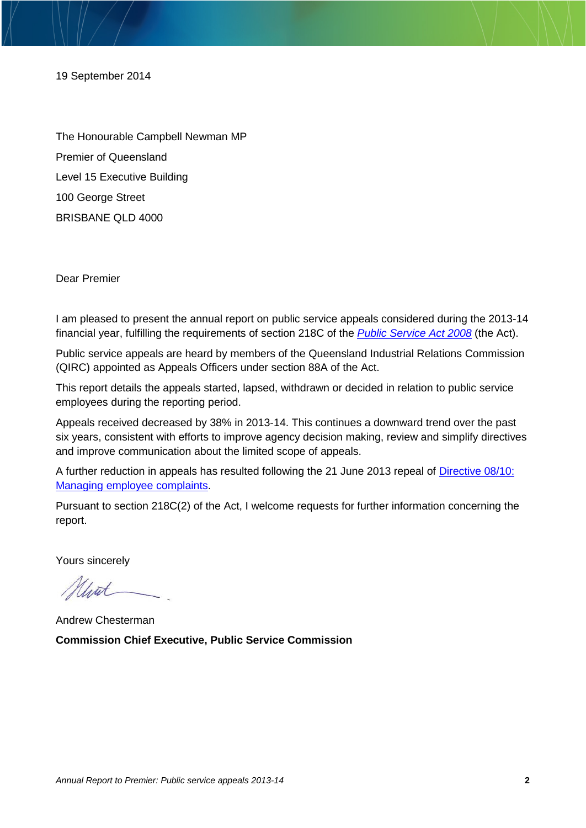19 September 2014

The Honourable Campbell Newman MP Premier of Queensland Level 15 Executive Building 100 George Street BRISBANE QLD 4000

Dear Premier

I am pleased to present the annual report on public service appeals considered during the 2013-14 financial year, fulfilling the requirements of section 218C of the *[Public Service Act 2008](https://www.legislation.qld.gov.au/LEGISLTN/CURRENT/P/PublicServA08.pdf)* (the Act).

Public service appeals are heard by members of the Queensland Industrial Relations Commission (QIRC) appointed as Appeals Officers under section 88A of the Act.

This report details the appeals started, lapsed, withdrawn or decided in relation to public service employees during the reporting period.

Appeals received decreased by 38% in 2013-14. This continues a downward trend over the past six years, consistent with efforts to improve agency decision making, review and simplify directives and improve communication about the limited scope of appeals.

A further reduction in appeals has resulted following the 21 June 2013 repeal of [Directive 08/10:](http://www.psc.qld.gov.au/publications/directives/assets/2010-8-managing-employee-complaints_repealed.pdf)  [Managing employee complaints.](http://www.psc.qld.gov.au/publications/directives/assets/2010-8-managing-employee-complaints_repealed.pdf)

Pursuant to section 218C(2) of the Act, I welcome requests for further information concerning the report.

Yours sincerely

Mint

Andrew Chesterman **Commission Chief Executive, Public Service Commission**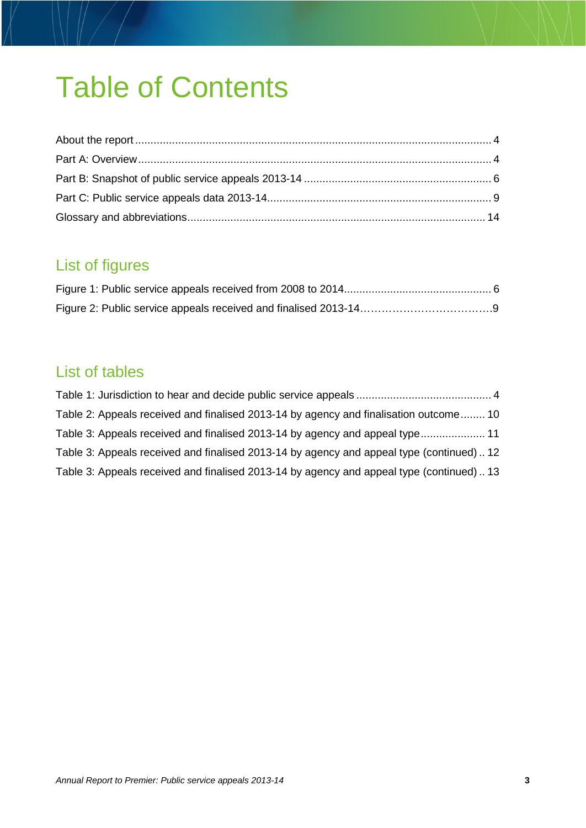## Table of Contents

### List of figures

#### List of tables

<span id="page-2-0"></span>

| Table 2: Appeals received and finalised 2013-14 by agency and finalisation outcome 10    |  |
|------------------------------------------------------------------------------------------|--|
| Table 3: Appeals received and finalised 2013-14 by agency and appeal type 11             |  |
| Table 3: Appeals received and finalised 2013-14 by agency and appeal type (continued) 12 |  |
| Table 3: Appeals received and finalised 2013-14 by agency and appeal type (continued) 13 |  |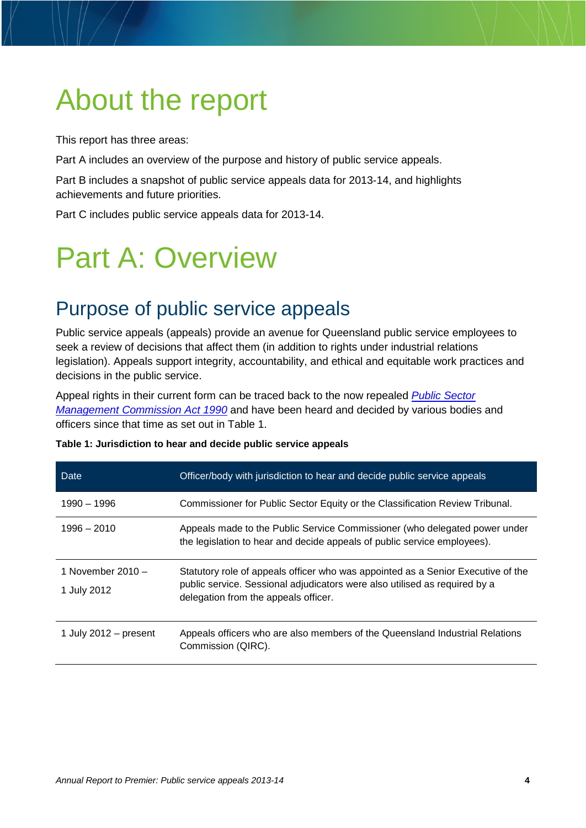## About the report

This report has three areas:

Part A includes an overview of the purpose and history of public service appeals.

Part B includes a snapshot of public service appeals data for 2013-14, and highlights achievements and future priorities.

Part C includes public service appeals data for 2013-14.

### <span id="page-3-0"></span>Part A: Overview

### Purpose of public service appeals

Public service appeals (appeals) provide an avenue for Queensland public service employees to seek a review of decisions that affect them (in addition to rights under industrial relations legislation). Appeals support integrity, accountability, and ethical and equitable work practices and decisions in the public service.

Appeal rights in their current form can be traced back to the now repealed *[Public Sector](https://www.legislation.qld.gov.au/LEGISLTN/REPEALED/P/PublicSecManCA90_02_.pdf)  [Management Commission Act 1990](https://www.legislation.qld.gov.au/LEGISLTN/REPEALED/P/PublicSecManCA90_02_.pdf)* and have been heard and decided by various bodies and officers since that time as set out in Table 1.

| Date                               | Officer/body with jurisdiction to hear and decide public service appeals                                                                                                                               |
|------------------------------------|--------------------------------------------------------------------------------------------------------------------------------------------------------------------------------------------------------|
| 1990 – 1996                        | Commissioner for Public Sector Equity or the Classification Review Tribunal.                                                                                                                           |
| $1996 - 2010$                      | Appeals made to the Public Service Commissioner (who delegated power under<br>the legislation to hear and decide appeals of public service employees).                                                 |
| 1 November 2010 $-$<br>1 July 2012 | Statutory role of appeals officer who was appointed as a Senior Executive of the<br>public service. Sessional adjudicators were also utilised as required by a<br>delegation from the appeals officer. |
| 1 July 2012 $-$ present            | Appeals officers who are also members of the Queensland Industrial Relations<br>Commission (QIRC).                                                                                                     |

<span id="page-3-1"></span>

| Table 1: Jurisdiction to hear and decide public service appeals |  |  |  |  |  |
|-----------------------------------------------------------------|--|--|--|--|--|
|-----------------------------------------------------------------|--|--|--|--|--|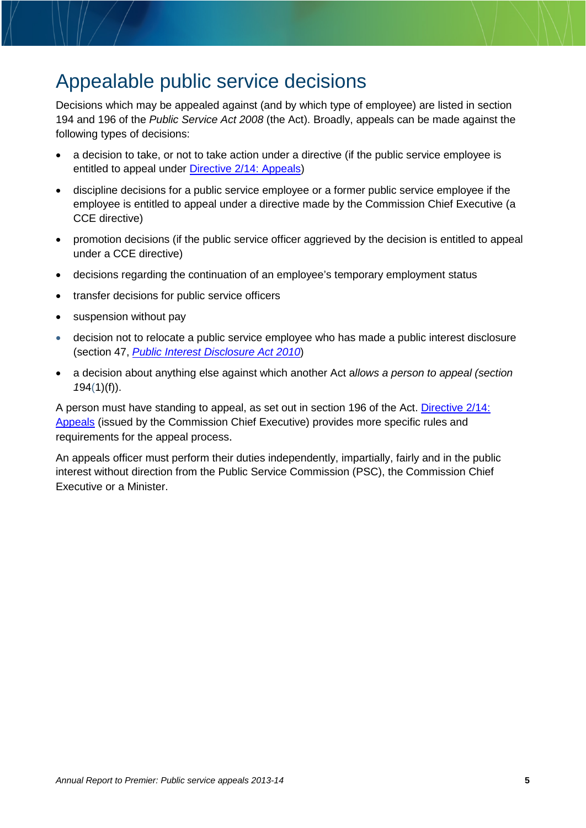### Appealable public service decisions

Decisions which may be appealed against (and by which type of employee) are listed in section 194 and 196 of the *Public Service Act 2008* (the Act). Broadly, appeals can be made against the following types of decisions:

- a decision to take, or not to take action under a directive (if the public service employee is entitled to appeal under [Directive 2/14: Appeals\)](http://www.psc.qld.gov.au/publications/directives/assets/2014-2-Appeals.pdf)
- discipline decisions for a public service employee or a former public service employee if the employee is entitled to appeal under a directive made by the Commission Chief Executive (a CCE directive)
- promotion decisions (if the public service officer aggrieved by the decision is entitled to appeal under a CCE directive)
- decisions regarding the continuation of an employee's temporary employment status
- transfer decisions for public service officers
- suspension without pay
- decision not to relocate a public service employee who has made a public interest disclosure (section 47, *[Public Interest Disclosure Act 2010](https://www.legislation.qld.gov.au/LEGISLTN/CURRENT/P/PubIntDisA10.pdf)*)
- a decision about anything else against which another Act a*llows a person to appeal (section 1*94(1)(f)).

A person must have standing to appeal, as set out in section 196 of the Act. [Directive 2/14:](http://www.psc.qld.gov.au/publications/directives/assets/2014-2-Appeals.pdf)  [Appeals](http://www.psc.qld.gov.au/publications/directives/assets/2014-2-Appeals.pdf) (issued by the Commission Chief Executive) provides more specific rules and requirements for the appeal process.

An appeals officer must perform their duties independently, impartially, fairly and in the public interest without direction from the Public Service Commission (PSC), the Commission Chief Executive or a Minister.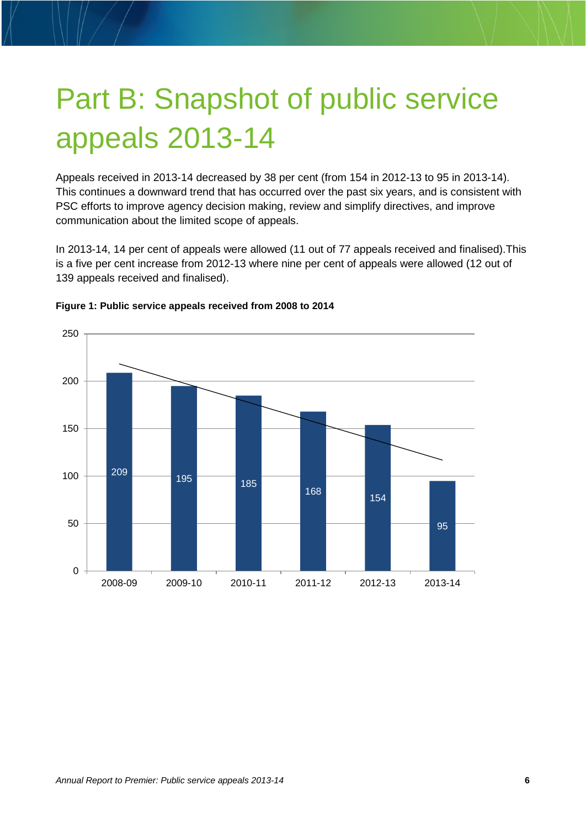# <span id="page-5-0"></span>Part B: Snapshot of public service appeals 2013-14

Appeals received in 2013-14 decreased by 38 per cent (from 154 in 2012-13 to 95 in 2013-14). This continues a downward trend that has occurred over the past six years, and is consistent with PSC efforts to improve agency decision making, review and simplify directives, and improve communication about the limited scope of appeals.

In 2013-14, 14 per cent of appeals were allowed (11 out of 77 appeals received and finalised).This is a five per cent increase from 2012-13 where nine per cent of appeals were allowed (12 out of 139 appeals received and finalised).



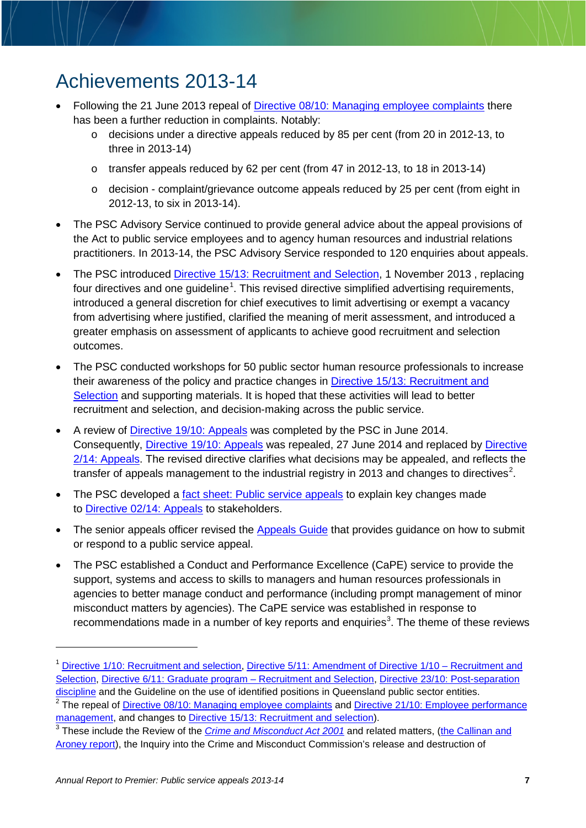### Achievements 2013-14

- Following the 21 June 2013 repeal of [Directive 08/10: Managing employee complaints](http://www.psc.qld.gov.au/publications/directives/assets/2010-8-managing-employee-complaints_repealed.pdf) there has been a further reduction in complaints. Notably:
	- $\circ$  decisions under a directive appeals reduced by 85 per cent (from 20 in 2012-13, to three in 2013-14)
	- o transfer appeals reduced by 62 per cent (from 47 in 2012-13, to 18 in 2013-14)
	- $\circ$  decision complaint/grievance outcome appeals reduced by 25 per cent (from eight in 2012-13, to six in 2013-14).
- The PSC Advisory Service continued to provide general advice about the appeal provisions of the Act to public service employees and to agency human resources and industrial relations practitioners. In 2013-14, the PSC Advisory Service responded to 120 enquiries about appeals.
- The PSC introduced Directive 15/13: [Recruitment and Selection,](http://www.psc.qld.gov.au/publications/directives/assets/2013-15-Recruitment-and-Selection.pdf) 1 November 2013 , replacing four directives and one guideline<sup>[1](#page-6-0)</sup>. This revised directive simplified advertising requirements, introduced a general discretion for chief executives to limit advertising or exempt a vacancy from advertising where justified, clarified the meaning of merit assessment, and introduced a greater emphasis on assessment of applicants to achieve good recruitment and selection outcomes.
- The PSC conducted workshops for 50 public sector human resource professionals to increase their awareness of the policy and practice changes in [Directive 15/13: Recruitment and](http://www.psc.qld.gov.au/publications/directives/assets/2013-15-Recruitment-and-Selection.pdf)  [Selection](http://www.psc.qld.gov.au/publications/directives/assets/2013-15-Recruitment-and-Selection.pdf) and supporting materials. It is hoped that these activities will lead to better recruitment and selection, and decision-making across the public service.
- A review of [Directive 19/10: Appeals](http://www.psc.qld.gov.au/publications/directives/assets/2010-19-appeals_superseded.pdf) was completed by the PSC in June 2014. Consequently, [Directive 19/10: Appeals](http://www.psc.qld.gov.au/publications/directives/assets/2010-19-appeals_superseded.pdf) was repealed, 27 June 2014 and replaced by [Directive](http://www.psc.qld.gov.au/publications/directives/assets/2014-2-Appeals.pdf)  [2/14: Appeals.](http://www.psc.qld.gov.au/publications/directives/assets/2014-2-Appeals.pdf) The revised directive clarifies what decisions may be appealed, and reflects the transfer of appeals management to the industrial registry in [2](#page-6-1)013 and changes to directives<sup>2</sup>.
- The PSC developed a [fact sheet: Public service appeals](http://www.psc.qld.gov.au/dropbox/fact_sheet_appeals.pdf) to explain key changes made to [Directive 02/14: Appeals](http://www.psc.qld.gov.au/publications/directives/assets/2014-2-Appeals.pdf) to stakeholders.
- The senior appeals officer revised the [Appeals Guide](http://www.qirc.qld.gov.au/qirc/resources/pdf/public_service_appeals/guide.pdf) that provides guidance on how to submit or respond to a public service appeal.
- The PSC established a Conduct and Performance Excellence (CaPE) service to provide the support, systems and access to skills to managers and human resources professionals in agencies to better manage conduct and performance (including prompt management of minor misconduct matters by agencies). The CaPE service was established in response to recommendations made in a number of key reports and enquiries<sup>[3](#page-6-2)</sup>. The theme of these reviews

 $\overline{a}$ 

<span id="page-6-0"></span><sup>1</sup> [Directive 1/10: Recruitment and selection,](http://www.psc.qld.gov.au/publications/directives/assets/2010-1-recruitment-selection-superseded.pdf) [Directive 5/11: Amendment of Directive 1/10 –](http://www.psc.qld.gov.au/publications/directives/assets/2011-5-amendment-directive-1-10-recruitment-selection_superseded%20.pdf) Recruitment and [Selection,](http://www.psc.qld.gov.au/publications/directives/assets/2011-5-amendment-directive-1-10-recruitment-selection_superseded%20.pdf) [Directive 6/11: Graduate program –](http://www.psc.qld.gov.au/publications/directives/assets/2011-6-graduate%20program%20recruitment%20and%20selection_superseded.pdf) Recruitment and Selection, [Directive 23/10: Post-separation](http://www.psc.qld.gov.au/publications/directives/assets/2010-23-post-separation-discipline_superseded.pdf)  [discipline](http://www.psc.qld.gov.au/publications/directives/assets/2010-23-post-separation-discipline_superseded.pdf) and the Guideline on the use of identified positions in Queensland public sector entities.

<span id="page-6-1"></span><sup>&</sup>lt;sup>2</sup> The repeal of [Directive 08/10: Managing employee complaints](http://www.psc.qld.gov.au/publications/directives/assets/2010-8-managing-employee-complaints_repealed.pdf) and Directive 21/10: Employee performance [management,](http://www.psc.qld.gov.au/publications/directives/assets/2010-21-employee-performance-management_2.pdf) and changes to [Directive 15/13: Recruitment and selection\)](http://www.psc.qld.gov.au/publications/directives/assets/2013-15-Recruitment-and-Selection.pdf).

<span id="page-6-2"></span><sup>&</sup>lt;sup>3</sup> These include the Review of the *[Crime and Misconduct Act 2001](https://www.legislation.qld.gov.au/LEGISLTN/SUPERSED/C/CrimeandMisA01_131127.pdf)* and related matters, (the Callinan and [Aroney report\)](http://www.justice.qld.gov.au/cmareview), the Inquiry into the Crime and Misconduct Commission's release and destruction of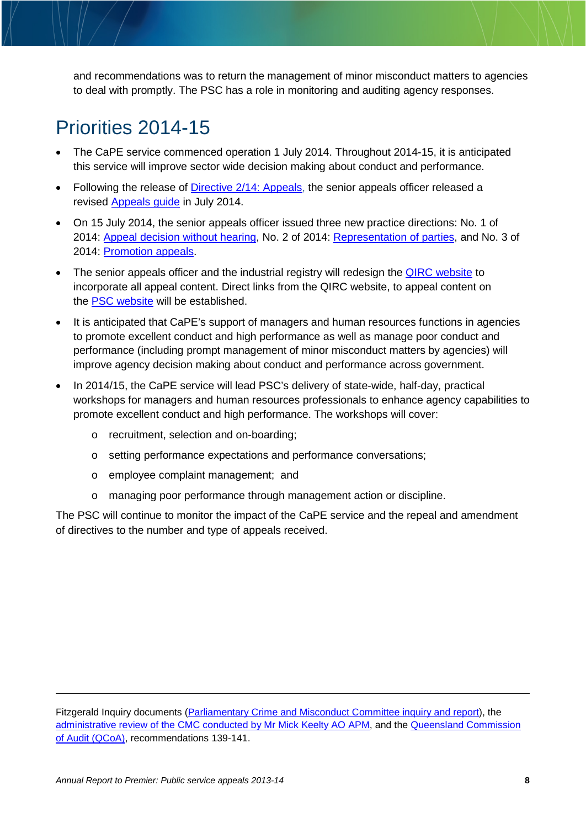and recommendations was to return the management of minor misconduct matters to agencies to deal with promptly. The PSC has a role in monitoring and auditing agency responses.

### Priorities 2014-15

- The CaPE service commenced operation 1 July 2014. Throughout 2014-15, it is anticipated this service will improve sector wide decision making about conduct and performance.
- Following the release of [Directive 2/14: Appeals,](http://www.psc.qld.gov.au/publications/directives/assets/2014-2-Appeals.pdf) the senior appeals officer released a revised [Appeals guide](http://www.qirc.qld.gov.au/qirc/resources/pdf/public_service_appeals/guide.pdf) in July 2014.
- On 15 July 2014, the senior appeals officer issued three new practice directions: [No. 1 of](http://www.qirc.qld.gov.au/qirc/resources/pdf/public_service_appeals/pd1_150714.pdf)  [2014: Appeal decision without hearing,](http://www.qirc.qld.gov.au/qirc/resources/pdf/public_service_appeals/pd1_150714.pdf) No. 2 of 2014: [Representation of parties,](http://www.qirc.qld.gov.au/qirc/resources/pdf/public_service_appeals/pd2_150714.pdf) and No. 3 of 2014: [Promotion appeals.](http://www.qirc.qld.gov.au/qirc/resources/pdf/public_service_appeals/pd3_150714.pdf)
- The senior appeals officer and the industrial registry will redesign the QIRC [website](http://www.qirc.qld.gov.au/) to incorporate all appeal content. Direct links from the QIRC website, to appeal content on the **PSC** website will be established.
- It is anticipated that CaPE's support of managers and human resources functions in agencies to promote excellent conduct and high performance as well as manage poor conduct and performance (including prompt management of minor misconduct matters by agencies) will improve agency decision making about conduct and performance across government.
- In 2014/15, the CaPE service will lead PSC's delivery of state-wide, half-day, practical workshops for managers and human resources professionals to enhance agency capabilities to promote excellent conduct and high performance. The workshops will cover:
	- o recruitment, selection and on-boarding;
	- o setting performance expectations and performance conversations;
	- o employee complaint management; and
	- o managing poor performance through management action or discipline.

The PSC will continue to monitor the impact of the CaPE service and the repeal and amendment of directives to the number and type of appeals received.

Fitzgerald Inquiry documents [\(Parliamentary Crime and Misconduct Committee inquiry and report\)](http://www.parliament.qld.gov.au/documents/committees/PCMC/2013/FitzgeraldDocuments/rpt-090-5Apr2013.pdf), the [administrative review of the CMC conducted by Mr Mick Keelty AO APM,](http://www.parliament.qld.gov.au/documents/tableOffice/TabledPapers/2013/5413T4088.pdf) and the Queensland Commission [of Audit \(QCoA\),](http://commissionofaudit.qld.gov.au/reports/coa-final-report-volume-3.pdf%20).) recommendations 139-141.

 $\overline{a}$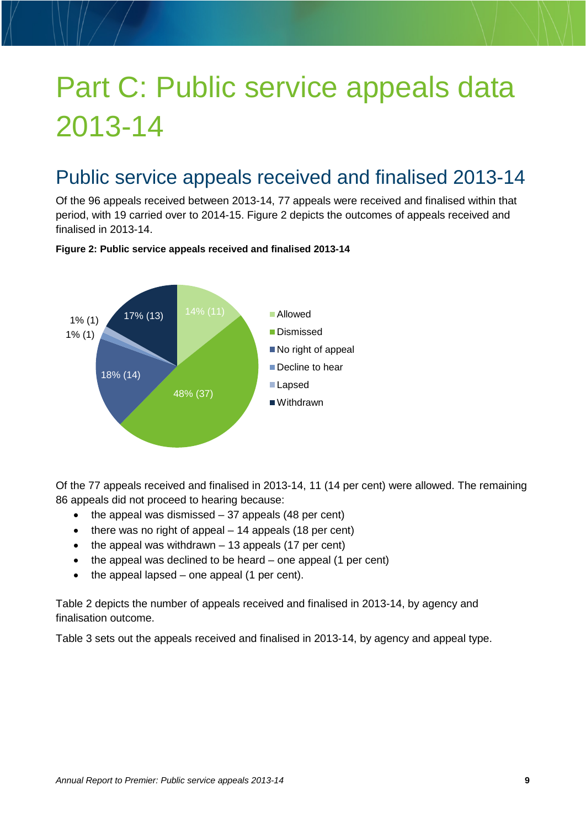# <span id="page-8-0"></span>Part C: Public service appeals data 2013-14

### Public service appeals received and finalised 2013-14

Of the 96 appeals received between 2013-14, 77 appeals were received and finalised within that period, with 19 carried over to 2014-15. Figure 2 depicts the outcomes of appeals received and finalised in 2013-14.

#### **Figure 2: Public service appeals received and finalised 2013-14**



Of the 77 appeals received and finalised in 2013-14, 11 (14 per cent) were allowed. The remaining 86 appeals did not proceed to hearing because:

- $\bullet$  the appeal was dismissed  $-37$  appeals (48 per cent)
- there was no right of appeal 14 appeals (18 per cent)
- $\bullet$  the appeal was withdrawn  $-13$  appeals (17 per cent)
- the appeal was declined to be heard one appeal (1 per cent)
- the appeal lapsed one appeal (1 per cent).

Table 2 depicts the number of appeals received and finalised in 2013-14, by agency and finalisation outcome.

Table 3 sets out the appeals received and finalised in 2013-14, by agency and appeal type.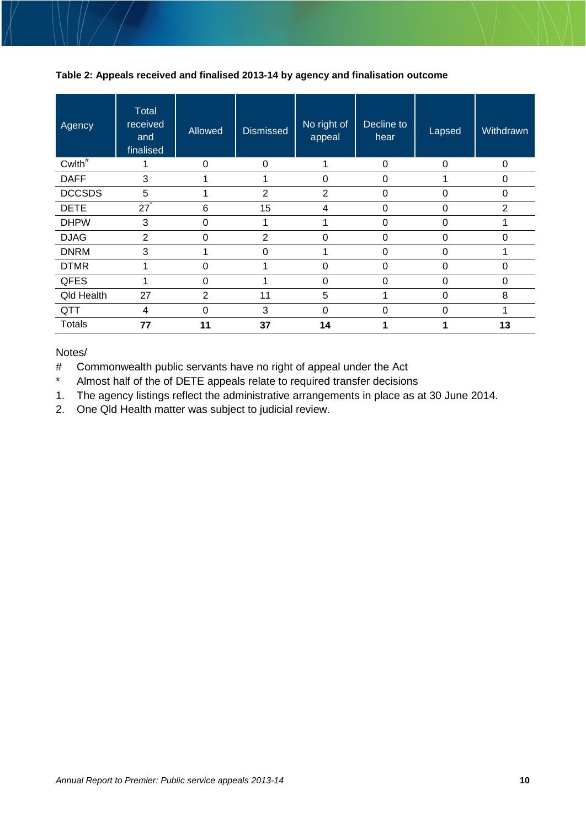#### <span id="page-9-0"></span>**Table 2: Appeals received and finalised 2013-14 by agency and finalisation outcome**

| Agency        | <b>Total</b><br>received<br>and<br>finalised | Allowed  | <b>Dismissed</b> | No right of<br>appeal | Decline to<br>hear | Lapsed   | Withdrawn      |
|---------------|----------------------------------------------|----------|------------------|-----------------------|--------------------|----------|----------------|
| $Cw$ Ith $*$  |                                              | $\Omega$ | $\Omega$         |                       | $\Omega$           | $\Omega$ |                |
| <b>DAFF</b>   | 3                                            |          |                  | 0                     | 0                  |          | $\mathbf 0$    |
| <b>DCCSDS</b> | 5                                            |          | $\overline{2}$   | $\overline{2}$        | 0                  | 0        | 0              |
| <b>DETE</b>   | 27 <sup>°</sup>                              | 6        | 15               | 4                     | $\Omega$           | 0        | $\overline{2}$ |
| <b>DHPW</b>   | 3                                            | $\Omega$ |                  |                       | 0                  | 0        |                |
| <b>DJAG</b>   | $\overline{2}$                               | 0        | $\overline{2}$   | 0                     | 0                  | 0        | 0              |
| <b>DNRM</b>   | 3                                            |          | $\Omega$         |                       | $\Omega$           | $\Omega$ |                |
| <b>DTMR</b>   | 1                                            | $\Omega$ | 1                | 0                     | $\Omega$           | $\Omega$ | $\Omega$       |
| QFES          |                                              | 0        |                  | 0                     | ∩                  | 0        | 0              |
| Qld Health    | 27                                           | 2        | 11               | 5                     |                    | 0        | 8              |
| QTT           | 4                                            | 0        | 3                | 0                     | $\Omega$           | $\Omega$ |                |
| <b>Totals</b> | 77                                           | 11       | 37               | 14                    |                    |          | 13             |

Notes/

# Commonwealth public servants have no right of appeal under the Act<br>\* Almost half of the of DETE appeals relate to required transfer decision

Almost half of the of DETE appeals relate to required transfer decisions

1. The agency listings reflect the administrative arrangements in place as at 30 June 2014.

2. One Qld Health matter was subject to judicial review.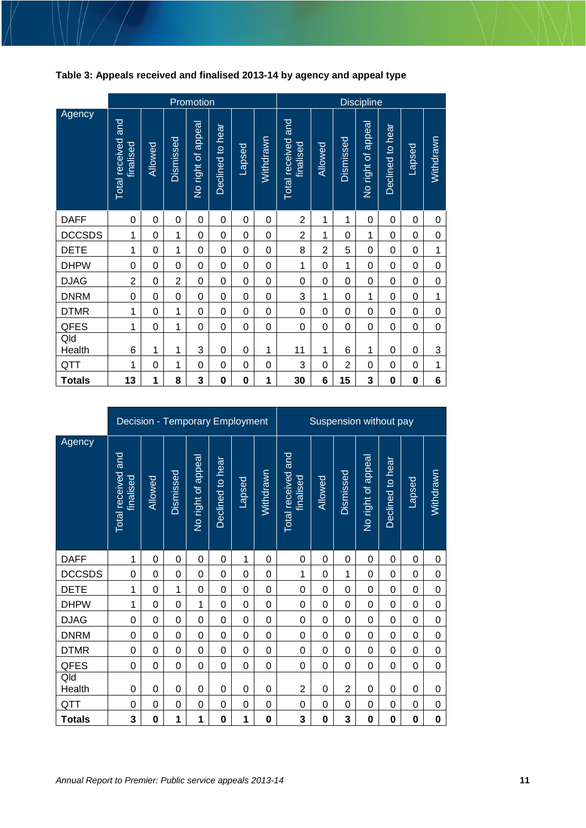<span id="page-10-0"></span>

| Table 3: Appeals received and finalised 2013-14 by agency and appeal type |
|---------------------------------------------------------------------------|
|---------------------------------------------------------------------------|

|               |                                 |         |                | Promotion          |                  |                | <b>Discipline</b> |                                 |                |                |                    |                  |                |             |
|---------------|---------------------------------|---------|----------------|--------------------|------------------|----------------|-------------------|---------------------------------|----------------|----------------|--------------------|------------------|----------------|-------------|
| Agency        | Total received and<br>finalised | Allowed | Dismissed      | No right of appeal | Declined to hear | Lapsed         | Withdrawn         | Total received and<br>finalised | Allowed        | Dismissed      | No right of appeal | Declined to hear | <u> Tapsed</u> | Withdrawn   |
| <b>DAFF</b>   | 0                               | 0       | 0              | $\mathbf 0$        | 0                | 0              | $\Omega$          | $\overline{2}$                  | 1              | 1              | 0                  | 0                | 0              | 0           |
| <b>DCCSDS</b> | 1                               | 0       | 1              | $\mathbf 0$        | 0                | 0              | $\Omega$          | $\overline{2}$                  | 1              | 0              | 1                  | $\Omega$         | $\Omega$       | 0           |
| <b>DETE</b>   | 1                               | 0       | 1              | 0                  | 0                | 0              | $\Omega$          | 8                               | $\overline{2}$ | 5              | 0                  | $\Omega$         | $\Omega$       | $\mathbf 1$ |
| <b>DHPW</b>   | 0                               | 0       | 0              | 0                  | 0                | 0              | 0                 | 1                               | 0              | 1              | 0                  | 0                | 0              | 0           |
| <b>DJAG</b>   | $\overline{2}$                  | 0       | $\overline{2}$ | $\overline{0}$     | 0                | 0              | $\Omega$          | 0                               | 0              | 0              | 0                  | 0                | 0              | 0           |
| <b>DNRM</b>   | $\mathbf 0$                     | 0       | 0              | 0                  | 0                | 0              | $\Omega$          | 3                               | 1              | 0              | 1                  | 0                | $\Omega$       | $\mathbf 1$ |
| <b>DTMR</b>   | 1                               | 0       | 1              | $\mathbf 0$        | 0                | 0              | 0                 | $\mathbf 0$                     | 0              | 0              | 0                  | 0                | 0              | 0           |
| QFES          | 1                               | 0       | 1              | $\mathbf 0$        | 0                | 0              | 0                 | $\mathbf 0$                     | 0              | 0              | 0                  | 0                | 0              | 0           |
| Qld<br>Health | 6                               | 1       | 1              | 3                  | 0                | $\overline{0}$ | 1                 | 11                              | 1              | 6              | 1                  | $\Omega$         | $\overline{0}$ | 3           |
| QTT           | 1                               | 0       | 1              | $\Omega$           | 0                | $\overline{0}$ | $\Omega$          | 3                               | 0              | $\overline{2}$ | $\Omega$           | 0                | 0              | 1           |
| <b>Totals</b> | 13                              | 1       | 8              | 3                  | $\mathbf 0$      | $\bf{0}$       | 1                 | 30                              | 6              | 15             | 3                  | 0                | 0              | 6           |

<span id="page-10-1"></span>

|               | Decision - Temporary Employment |          |           |                    |                  |             |                  | Suspension without pay          |         |                |                    |                  |             |           |
|---------------|---------------------------------|----------|-----------|--------------------|------------------|-------------|------------------|---------------------------------|---------|----------------|--------------------|------------------|-------------|-----------|
| Agency        | Total received and<br>finalised | Allowed  | Dismissed | No right of appeal | Declined to hear | Lapsed      | <b>Withdrawn</b> | Total received and<br>finalised | Allowed | Dismissed      | No right of appeal | Declined to hear | Lapsed      | Withdrawn |
| <b>DAFF</b>   | 1                               | 0        | 0         | 0                  | 0                | 1           | 0                | 0                               | 0       | 0              | 0                  | 0                | $\Omega$    | 0         |
| <b>DCCSDS</b> | 0                               | $\Omega$ | $\Omega$  | 0                  | 0                | 0           | 0                | 1                               | 0       | 1              | 0                  | 0                | $\Omega$    | 0         |
| <b>DETE</b>   | 1                               | $\Omega$ | 1         | 0                  | 0                | 0           | 0                | $\mathbf 0$                     | 0       | $\Omega$       | 0                  | 0                | $\mathbf 0$ | 0         |
| <b>DHPW</b>   | 1                               | 0        | 0         | 1                  | 0                | 0           | 0                | 0                               | 0       | 0              | 0                  | 0                | 0           | 0         |
| <b>DJAG</b>   | 0                               | 0        | 0         | 0                  | 0                | 0           | 0                | 0                               | 0       | 0              | 0                  | 0                | $\Omega$    | 0         |
| <b>DNRM</b>   | 0                               | 0        | 0         | $\mathbf 0$        | 0                | $\mathbf 0$ | 0                | 0                               | 0       | 0              | $\mathbf 0$        | 0                | $\mathbf 0$ | 0         |
| <b>DTMR</b>   | 0                               | $\Omega$ | 0         | $\mathbf 0$        | 0                | 0           | 0                | $\overline{0}$                  | 0       | 0              | $\mathbf 0$        | 0                | $\Omega$    | 0         |
| <b>QFES</b>   | 0                               | $\Omega$ | 0         | $\mathbf 0$        | 0                | 0           | 0                | 0                               | 0       | 0              | 0                  | 0                | 0           | 0         |
| Qld<br>Health | 0                               | 0        | 0         | $\Omega$           | 0                | 0           | 0                | $\overline{2}$                  | 0       | $\overline{2}$ | 0                  | 0                | $\Omega$    | 0         |
| QTT           | 0                               | 0        | 0         | $\mathbf 0$        | 0                | 0           | 0                | $\overline{0}$                  | 0       | 0              | 0                  | 0                | $\mathbf 0$ | 0         |
| <b>Totals</b> | 3                               | $\bf{0}$ | 1         | 1                  | $\mathbf 0$      | 1           | 0                | 3                               | 0       | 3              | $\bf{0}$           | 0                | 0           | 0         |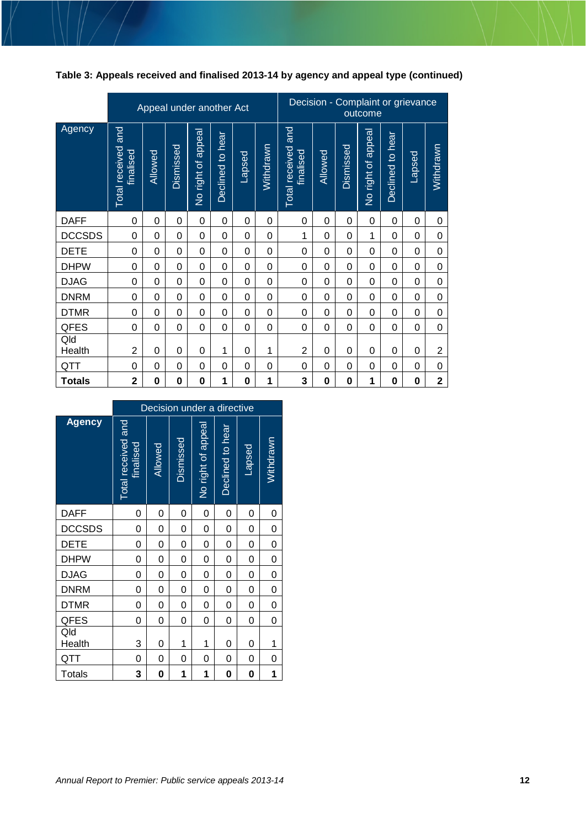| Table 3: Appeals received and finalised 2013-14 by agency and appeal type (continued) |  |
|---------------------------------------------------------------------------------------|--|
|---------------------------------------------------------------------------------------|--|

|               |                                 |             | Appeal under another Act |                    |                  |                | Decision - Complaint or grievance |                                    |                | outcome   |                    |                  |               |                         |
|---------------|---------------------------------|-------------|--------------------------|--------------------|------------------|----------------|-----------------------------------|------------------------------------|----------------|-----------|--------------------|------------------|---------------|-------------------------|
| Agency        | Total received and<br>tinalised | Allowed     | Dismissed                | No right of appeal | Declined to hear | <b>Lapsed</b>  | Withdrawn                         | and<br>Total received<br>finalised | <b>Allowed</b> | Dismissed | No right of appeal | Declined to hear | <b>Lapsed</b> | Withdrawn               |
| <b>DAFF</b>   | 0                               | 0           | 0                        | 0                  | 0                | 0              | 0                                 | 0                                  | 0              | 0         | 0                  | 0                | 0             | 0                       |
| <b>DCCSDS</b> | 0                               | $\mathbf 0$ | 0                        | 0                  | 0                | 0              | 0                                 | 1                                  | 0              | 0         | 1                  | $\Omega$         | 0             | 0                       |
| <b>DETE</b>   | 0                               | $\mathbf 0$ | 0                        | 0                  | 0                | 0              | 0                                 | 0                                  | 0              | 0         | 0                  | 0                | 0             | 0                       |
| <b>DHPW</b>   | $\mathbf 0$                     | $\mathbf 0$ | 0                        | $\Omega$           | 0                | $\Omega$       | $\Omega$                          | 0                                  | $\Omega$       | 0         | $\Omega$           | $\Omega$         | 0             | $\mathbf 0$             |
| <b>DJAG</b>   | 0                               | $\Omega$    | 0                        | 0                  | 0                | 0              | $\Omega$                          | 0                                  | 0              | 0         | 0                  | $\Omega$         | 0             | $\boldsymbol{0}$        |
| <b>DNRM</b>   | 0                               | 0           | 0                        | 0                  | 0                | 0              | 0                                 | 0                                  | 0              | 0         | 0                  | $\Omega$         | 0             | $\boldsymbol{0}$        |
| <b>DTMR</b>   | 0                               | 0           | 0                        | 0                  | 0                | $\overline{0}$ | $\overline{0}$                    | 0                                  | $\Omega$       | 0         | 0                  | $\Omega$         | 0             | $\boldsymbol{0}$        |
| <b>QFES</b>   | 0                               | $\Omega$    | 0                        | 0                  | 0                | $\Omega$       | 0                                 | 0                                  | 0              | 0         | 0                  | $\Omega$         | 0             | 0                       |
| Qld<br>Health | $\overline{2}$                  | 0           | 0                        | 0                  | 1                | 0              | 1                                 | $\overline{2}$                     | 0              | 0         | 0                  | 0                | 0             | $\overline{c}$          |
| QTT           | 0                               | 0           | $\Omega$                 | 0                  | 0                | 0              | $\Omega$                          | 0                                  | 0              | 0         | 0                  | 0                | 0             | $\boldsymbol{0}$        |
| <b>Totals</b> | $\overline{2}$                  | $\bf{0}$    | 0                        | 0                  | 1                | 0              | 1                                 | 3                                  | 0              | 0         | 1                  | 0                | 0             | $\overline{\mathbf{2}}$ |

|               | Decision under a directive      |         |           |                    |                  |        |           |  |  |  |  |  |
|---------------|---------------------------------|---------|-----------|--------------------|------------------|--------|-----------|--|--|--|--|--|
| <b>Agency</b> | Total received and<br>finalised | Allowed | Dismissed | No right of appeal | Declined to hear | Lapsed | Withdrawn |  |  |  |  |  |
| <b>DAFF</b>   | 0                               | 0       | 0         | 0                  | 0                | 0      | 0         |  |  |  |  |  |
| <b>DCCSDS</b> | 0                               | 0       | 0         | 0                  | 0                | 0      | 0         |  |  |  |  |  |
| <b>DETE</b>   | 0                               | 0       | 0         | 0                  | 0                | 0      | 0         |  |  |  |  |  |
| <b>DHPW</b>   | 0                               | 0       | 0         | 0                  | 0                | 0      | 0         |  |  |  |  |  |
| <b>DJAG</b>   | 0                               | 0       | 0         | 0                  | 0                | 0      | 0         |  |  |  |  |  |
| <b>DNRM</b>   | 0                               | 0       | 0         | 0                  | 0                | 0      | 0         |  |  |  |  |  |
| <b>DTMR</b>   | 0                               | 0       | 0         | 0                  | 0                | 0      | 0         |  |  |  |  |  |
| QFES          | 0                               | 0       | 0         | 0                  | 0                | 0      | 0         |  |  |  |  |  |
| Qld<br>Health | 3                               | 0       | 1         | 1                  | 0                | 0      | 1         |  |  |  |  |  |
| QTT           | 0                               | 0       | 0         | 0                  | 0                | 0      | 0         |  |  |  |  |  |
| <b>Totals</b> | 3                               | 0       | 1         | 1                  | 0                | 0      | 1         |  |  |  |  |  |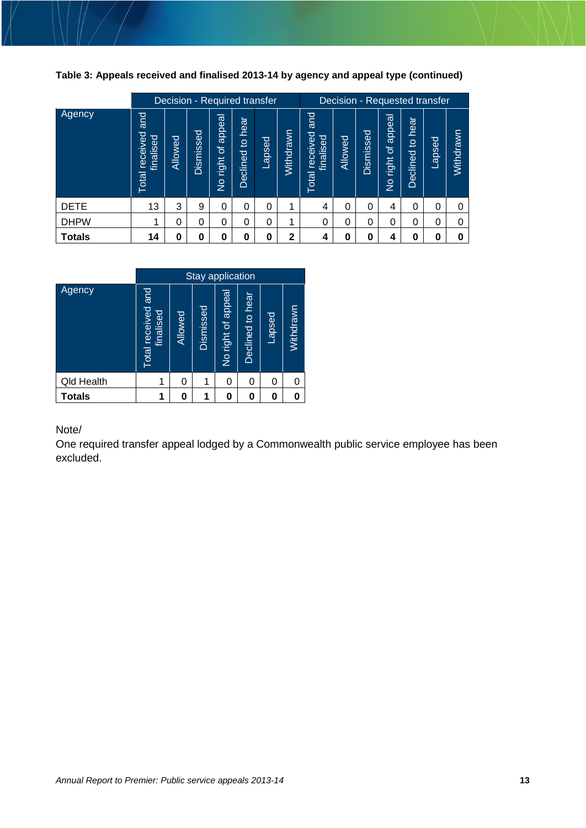<span id="page-12-0"></span>**Table 3: Appeals received and finalised 2013-14 by agency and appeal type (continued)** 

|               | Decision - Required transfer                      |         |               |                                         |                                           | Decision - Requested transfer |              |                                       |         |           |                                       |                                  |        |           |
|---------------|---------------------------------------------------|---------|---------------|-----------------------------------------|-------------------------------------------|-------------------------------|--------------|---------------------------------------|---------|-----------|---------------------------------------|----------------------------------|--------|-----------|
| Agency        | and<br>ceived<br>ರ<br>finalise<br>$\Phi$<br>Total | Allowed | မွ<br>Dismiss | appea<br>្រា<br>right<br>$\overline{z}$ | hear<br>$\overline{a}$<br><b>Declined</b> | Lapsed                        | Withdrawn    | and<br>received<br>finalised<br>Total | Allowed | Dismissed | appeal<br>৳<br>right<br>$\frac{1}{2}$ | hear<br>$\mathbf{Q}$<br>Declined | Lapsed | Withdrawn |
| <b>DETE</b>   | 13                                                | 3       | 9             | 0                                       | 0                                         | 0                             | 4            | 4                                     | 0       | 0         | 4                                     | 0                                | 0      |           |
| <b>DHPW</b>   | 1                                                 | 0       | 0             | 0                                       | $\mathbf 0$                               | 0                             | 4            | 0                                     | 0       | 0         | $\Omega$                              | $\Omega$                         | 0      |           |
| <b>Totals</b> | 14                                                | 0       | 0             | 0                                       | $\bf{0}$                                  | 0                             | $\mathbf{2}$ | 4                                     | 0       | 0         | 4                                     | 0                                |        |           |

|                   | <b>Stay application</b>         |         |           |                   |                  |        |           |
|-------------------|---------------------------------|---------|-----------|-------------------|------------------|--------|-----------|
| Agency            | Total received and<br>finalised | Allowed | Dismissed | No right of appea | Declined to hear | Lapsed | Withdrawn |
| <b>Qld Health</b> | 1                               | 0       | 1         | 0                 | 0                | 0      |           |
| <b>Totals</b>     | 1                               | 0       |           | 0                 | 0                | 0      | 0         |

Note/

One required transfer appeal lodged by a Commonwealth public service employee has been excluded.